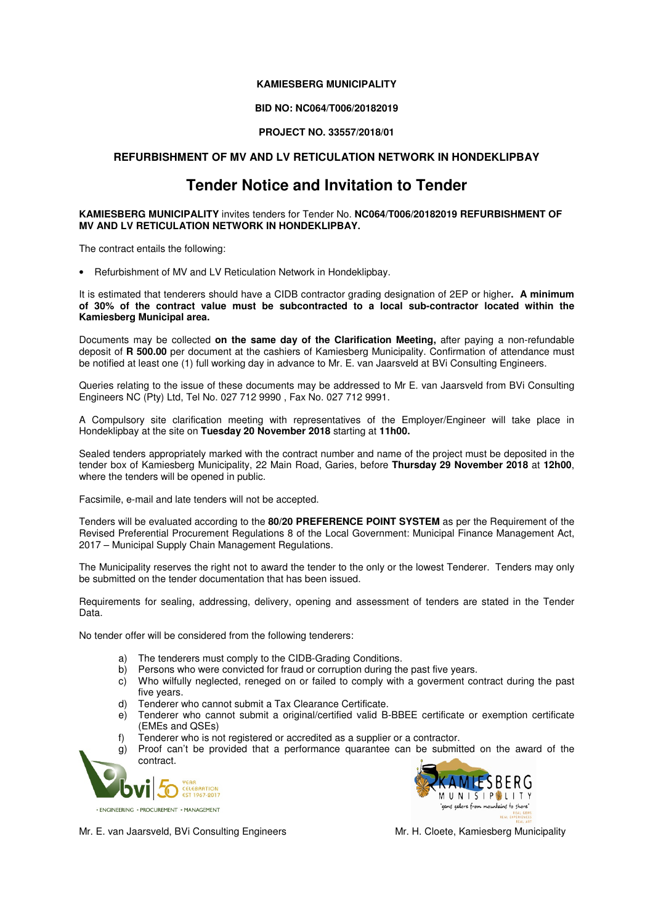## **KAMIESBERG MUNICIPALITY**

## **BID NO: NC064/T006/20182019**

## **PROJECT NO. 33557/2018/01**

## **REFURBISHMENT OF MV AND LV RETICULATION NETWORK IN HONDEKLIPBAY**

# **Tender Notice and Invitation to Tender**

#### **KAMIESBERG MUNICIPALITY** invites tenders for Tender No. **NC064/T006/20182019 REFURBISHMENT OF MV AND LV RETICULATION NETWORK IN HONDEKLIPBAY.**

The contract entails the following:

• Refurbishment of MV and LV Reticulation Network in Hondeklipbay.

It is estimated that tenderers should have a CIDB contractor grading designation of 2EP or higher**. A minimum**  of 30% of the contract value must be subcontracted to a local sub-contractor located within the **Kamiesberg Municipal area.** 

Documents may be collected **on the same day of the Clarification Meeting,** after paying a non-refundable deposit of **R 500.00** per document at the cashiers of Kamiesberg Municipality. Confirmation of attendance must be notified at least one (1) full working day in advance to Mr. E. van Jaarsveld at BVi Consulting Engineers.

Queries relating to the issue of these documents may be addressed to Mr E. van Jaarsveld from BVi Consulting Engineers NC (Pty) Ltd, Tel No. 027 712 9990 , Fax No. 027 712 9991.

A Compulsory site clarification meeting with representatives of the Employer/Engineer will take place in Hondeklipbay at the site on **Tuesday 20 November 2018** starting at **11h00.**

Sealed tenders appropriately marked with the contract number and name of the project must be deposited in the tender box of Kamiesberg Municipality, 22 Main Road, Garies, before **Thursday 29 November 2018** at **12h00**, where the tenders will be opened in public.

Facsimile, e-mail and late tenders will not be accepted.

Tenders will be evaluated according to the **80/20 PREFERENCE POINT SYSTEM** as per the Requirement of the Revised Preferential Procurement Regulations 8 of the Local Government: Municipal Finance Management Act, 2017 – Municipal Supply Chain Management Regulations.

The Municipality reserves the right not to award the tender to the only or the lowest Tenderer. Tenders may only be submitted on the tender documentation that has been issued.

Requirements for sealing, addressing, delivery, opening and assessment of tenders are stated in the Tender Data.

No tender offer will be considered from the following tenderers:

- a) The tenderers must comply to the CIDB-Grading Conditions.<br>b) Persons who were convicted for fraud or corruption during the
- Persons who were convicted for fraud or corruption during the past five years.
- c) Who wilfully neglected, reneged on or failed to comply with a goverment contract during the past five years.
- d) Tenderer who cannot submit a Tax Clearance Certificate.
- e) Tenderer who cannot submit a original/certified valid B-BBEE certificate or exemption certificate (EMEs and QSEs)
- Tenderer who is not registered or accredited as a supplier or a contractor.
- g) Proof can't be provided that a performance quarantee can be submitted on the award of the contract.





Mr. E. van Jaarsveld, BVi Consulting Engineers Municipality Mr. H. Cloete, Kamiesberg Municipality